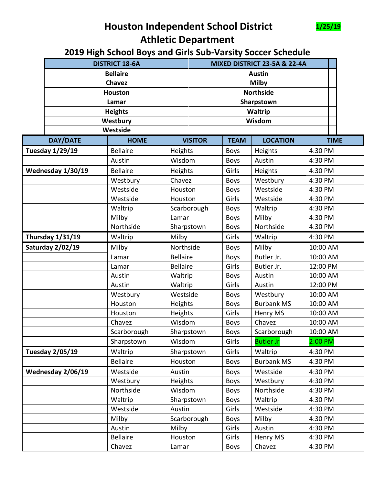## **Houston Independent School District 1/25/19 Athletic Department**



|                                    | <b>DISTRICT 18-6A</b>   |                 | MIXED DISTRICT 23-5A & 22-4A |                  |             |                   |          |             |
|------------------------------------|-------------------------|-----------------|------------------------------|------------------|-------------|-------------------|----------|-------------|
|                                    | <b>Bellaire</b>         |                 |                              | <b>Austin</b>    |             |                   |          |             |
|                                    | <b>Chavez</b>           |                 |                              | <b>Milby</b>     |             |                   |          |             |
|                                    | <b>Houston</b>          |                 |                              | <b>Northside</b> |             |                   |          |             |
|                                    | Lamar                   |                 | Sharpstown                   |                  |             |                   |          |             |
|                                    | <b>Heights</b>          |                 |                              | Waltrip          |             |                   |          |             |
|                                    | Westbury                |                 | Wisdom                       |                  |             |                   |          |             |
|                                    |                         | Westside        |                              |                  |             |                   |          |             |
|                                    | <b>DAY/DATE</b>         | <b>HOME</b>     |                              | <b>VISITOR</b>   | <b>TEAM</b> | <b>LOCATION</b>   |          | <b>TIME</b> |
|                                    | <b>Tuesday 1/29/19</b>  | <b>Bellaire</b> | Heights                      |                  | <b>Boys</b> | Heights           | 4:30 PM  |             |
|                                    |                         | Austin          | Wisdom                       |                  | <b>Boys</b> | Austin            | 4:30 PM  |             |
| Wednesday 1/30/19                  |                         | <b>Bellaire</b> | Heights                      |                  | Girls       | Heights           | 4:30 PM  |             |
|                                    |                         | Westbury        | Chavez                       |                  | <b>Boys</b> | Westbury          | 4:30 PM  |             |
|                                    |                         | Westside        | Houston                      |                  | <b>Boys</b> | Westside          | 4:30 PM  |             |
|                                    |                         | Westside        | Houston                      |                  | Girls       | Westside          | 4:30 PM  |             |
|                                    |                         | Waltrip         |                              | Scarborough      | <b>Boys</b> | Waltrip           | 4:30 PM  |             |
|                                    |                         | Milby           | Lamar                        |                  | <b>Boys</b> | Milby             | 4:30 PM  |             |
|                                    |                         | Northside       |                              | Sharpstown       |             | Northside         | 4:30 PM  |             |
| <b>Thursday 1/31/19</b><br>Waltrip |                         |                 | Milby                        |                  | Girls       | Waltrip           | 4:30 PM  |             |
|                                    | <b>Saturday 2/02/19</b> | Milby           | Northside                    |                  | <b>Boys</b> | Milby             | 10:00 AM |             |
|                                    |                         | Lamar           | <b>Bellaire</b>              |                  | <b>Boys</b> | Butler Jr.        | 10:00 AM |             |
|                                    |                         | Lamar           | <b>Bellaire</b>              |                  | Girls       | Butler Jr.        | 12:00 PM |             |
|                                    |                         | Austin          | Waltrip                      |                  | <b>Boys</b> | Austin            | 10:00 AM |             |
|                                    |                         | Austin          | Waltrip                      |                  | Girls       | Austin            | 12:00 PM |             |
|                                    |                         | Westbury        | Westside                     |                  | <b>Boys</b> | Westbury          | 10:00 AM |             |
|                                    |                         | Houston         | Heights                      |                  | <b>Boys</b> | <b>Burbank MS</b> | 10:00 AM |             |
|                                    |                         | Houston         | Heights                      |                  | Girls       | Henry MS          | 10:00 AM |             |
|                                    |                         | Chavez          | Wisdom                       |                  | <b>Boys</b> | Chavez            | 10:00 AM |             |
|                                    |                         | Scarborough     | Sharpstown                   |                  | <b>Boys</b> | Scarborough       | 10:00 AM |             |
|                                    |                         | Sharpstown      | Wisdom                       |                  | Girls       | <b>Butler Jr</b>  | 2:00 PM  |             |
|                                    | <b>Tuesday 2/05/19</b>  | Waltrip         | Sharpstown                   |                  | Girls       | Waltrip           | 4:30 PM  |             |
|                                    |                         | <b>Bellaire</b> | Houston                      |                  | <b>Boys</b> | <b>Burbank MS</b> | 4:30 PM  |             |
|                                    | Wednesday 2/06/19       | Westside        | Austin                       |                  | <b>Boys</b> | Westside          | 4:30 PM  |             |
|                                    |                         | Westbury        | Heights                      |                  | <b>Boys</b> | Westbury          | 4:30 PM  |             |
|                                    |                         | Northside       | Wisdom                       |                  | <b>Boys</b> | Northside         | 4:30 PM  |             |
|                                    |                         | Waltrip         | Sharpstown                   |                  | <b>Boys</b> | Waltrip           | 4:30 PM  |             |
|                                    |                         | Westside        | Austin                       |                  | Girls       | Westside          | 4:30 PM  |             |
|                                    |                         | Milby           |                              | Scarborough      | <b>Boys</b> | Milby             | 4:30 PM  |             |
|                                    |                         | Austin          | Milby                        |                  | Girls       | Austin            | 4:30 PM  |             |
|                                    |                         | <b>Bellaire</b> | Houston                      |                  | Girls       | Henry MS          | 4:30 PM  |             |
|                                    |                         | Chavez          | Lamar                        |                  | <b>Boys</b> | Chavez            | 4:30 PM  |             |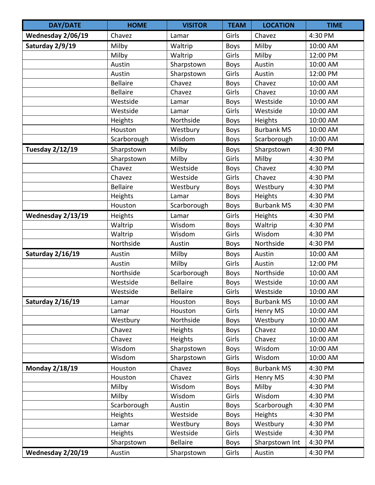| <b>DAY/DATE</b>         | <b>HOME</b>     | <b>VISITOR</b>  | <b>TEAM</b> | <b>LOCATION</b>   | <b>TIME</b> |
|-------------------------|-----------------|-----------------|-------------|-------------------|-------------|
| Wednesday 2/06/19       | Chavez          | Lamar           | Girls       | Chavez            | 4:30 PM     |
| Saturday 2/9/19         | Milby           | Waltrip         | <b>Boys</b> | Milby             | 10:00 AM    |
|                         | Milby           | Waltrip         | Girls       | Milby             | 12:00 PM    |
|                         | Austin          | Sharpstown      | <b>Boys</b> | Austin            | 10:00 AM    |
|                         | Austin          | Sharpstown      | Girls       | Austin            | 12:00 PM    |
|                         | <b>Bellaire</b> | Chavez          | <b>Boys</b> | Chavez            | 10:00 AM    |
|                         | <b>Bellaire</b> | Chavez          | Girls       | Chavez            | 10:00 AM    |
|                         | Westside        | Lamar           | <b>Boys</b> | Westside          | 10:00 AM    |
|                         | Westside        | Lamar           | Girls       | Westside          | 10:00 AM    |
|                         | Heights         | Northside       | <b>Boys</b> | Heights           | 10:00 AM    |
|                         | Houston         | Westbury        | <b>Boys</b> | <b>Burbank MS</b> | 10:00 AM    |
|                         | Scarborough     | Wisdom          | <b>Boys</b> | Scarborough       | 10:00 AM    |
| Tuesday 2/12/19         | Sharpstown      | Milby           | <b>Boys</b> | Sharpstown        | 4:30 PM     |
|                         | Sharpstown      | Milby           | Girls       | Milby             | 4:30 PM     |
|                         | Chavez          | Westside        | <b>Boys</b> | Chavez            | 4:30 PM     |
|                         | Chavez          | Westside        | Girls       | Chavez            | 4:30 PM     |
|                         | <b>Bellaire</b> | Westbury        | <b>Boys</b> | Westbury          | 4:30 PM     |
|                         | Heights         | Lamar           | <b>Boys</b> | Heights           | 4:30 PM     |
|                         | Houston         | Scarborough     | <b>Boys</b> | <b>Burbank MS</b> | 4:30 PM     |
| Wednesday 2/13/19       | Heights         | Lamar           | Girls       | Heights           | 4:30 PM     |
|                         | Waltrip         | Wisdom          | <b>Boys</b> | Waltrip           | 4:30 PM     |
|                         | Waltrip         | Wisdom          | Girls       | Wisdom            | 4:30 PM     |
|                         | Northside       | Austin          | <b>Boys</b> | Northside         | 4:30 PM     |
| Saturday 2/16/19        | Austin          | Milby           | <b>Boys</b> | Austin            | 10:00 AM    |
|                         | Austin          | Milby           | Girls       | Austin            | 12:00 PM    |
|                         | Northside       | Scarborough     | <b>Boys</b> | Northside         | 10:00 AM    |
|                         | Westside        | <b>Bellaire</b> | <b>Boys</b> | Westside          | 10:00 AM    |
|                         | Westside        | <b>Bellaire</b> | Girls       | Westside          | 10:00 AM    |
| <b>Saturday 2/16/19</b> | Lamar           | Houston         | <b>Boys</b> | <b>Burbank MS</b> | 10:00 AM    |
|                         | Lamar           | Houston         | Girls       | Henry MS          | 10:00 AM    |
|                         | Westbury        | Northside       | <b>Boys</b> | Westbury          | 10:00 AM    |
|                         | Chavez          | Heights         | <b>Boys</b> | Chavez            | 10:00 AM    |
|                         | Chavez          | <b>Heights</b>  | Girls       | Chavez            | 10:00 AM    |
|                         | Wisdom          | Sharpstown      | <b>Boys</b> | Wisdom            | 10:00 AM    |
|                         | Wisdom          | Sharpstown      | Girls       | Wisdom            | 10:00 AM    |
| <b>Monday 2/18/19</b>   | Houston         | Chavez          | <b>Boys</b> | <b>Burbank MS</b> | 4:30 PM     |
|                         | Houston         | Chavez          | Girls       | Henry MS          | 4:30 PM     |
|                         | Milby           | Wisdom          | <b>Boys</b> | Milby             | 4:30 PM     |
|                         | Milby           | Wisdom          | Girls       | Wisdom            | 4:30 PM     |
|                         | Scarborough     | Austin          | <b>Boys</b> | Scarborough       | 4:30 PM     |
|                         | Heights         | Westside        | <b>Boys</b> | Heights           | 4:30 PM     |
|                         | Lamar           | Westbury        | <b>Boys</b> | Westbury          | 4:30 PM     |
|                         | Heights         | Westside        | Girls       | Westside          | 4:30 PM     |
|                         | Sharpstown      | <b>Bellaire</b> | <b>Boys</b> | Sharpstown Int    | 4:30 PM     |
| Wednesday 2/20/19       | Austin          | Sharpstown      | Girls       | Austin            | 4:30 PM     |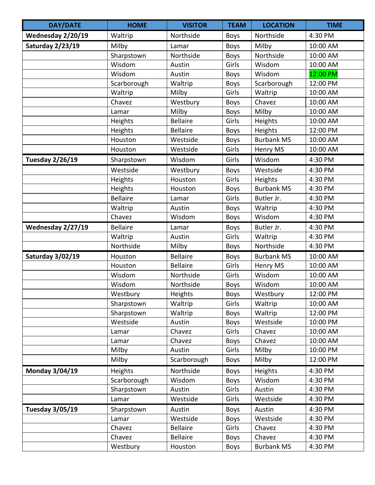| <b>DAY/DATE</b>         | <b>HOME</b>     | <b>VISITOR</b>  | <b>TEAM</b> | <b>LOCATION</b>   | <b>TIME</b> |
|-------------------------|-----------------|-----------------|-------------|-------------------|-------------|
| Wednesday 2/20/19       | Waltrip         | Northside       | <b>Boys</b> | Northside         | 4:30 PM     |
| <b>Saturday 2/23/19</b> | Milby           | Lamar           | <b>Boys</b> | Milby             | 10:00 AM    |
|                         | Sharpstown      | Northside       | <b>Boys</b> | Northside         | 10:00 AM    |
|                         | Wisdom          | Austin          | Girls       | Wisdom            | 10:00 AM    |
|                         | Wisdom          | Austin          | <b>Boys</b> | Wisdom            | 12:00 PM    |
|                         | Scarborough     | Waltrip         | <b>Boys</b> | Scarborough       | 12:00 PM    |
|                         | Waltrip         | Milby           | Girls       | Waltrip           | 10:00 AM    |
|                         | Chavez          | Westbury        | <b>Boys</b> | Chavez            | 10:00 AM    |
|                         | Lamar           | Milby           | <b>Boys</b> | Milby             | 10:00 AM    |
|                         | Heights         | <b>Bellaire</b> | Girls       | Heights           | 10:00 AM    |
|                         | Heights         | <b>Bellaire</b> | <b>Boys</b> | Heights           | 12:00 PM    |
|                         | Houston         | Westside        | <b>Boys</b> | <b>Burbank MS</b> | 10:00 AM    |
|                         | Houston         | Westside        | Girls       | Henry MS          | 10:00 AM    |
| <b>Tuesday 2/26/19</b>  | Sharpstown      | Wisdom          | Girls       | Wisdom            | 4:30 PM     |
|                         | Westside        | Westbury        | <b>Boys</b> | Westside          | 4:30 PM     |
|                         | Heights         | Houston         | Girls       | Heights           | 4:30 PM     |
|                         | Heights         | Houston         | <b>Boys</b> | <b>Burbank MS</b> | 4:30 PM     |
|                         | <b>Bellaire</b> | Lamar           | Girls       | Butler Jr.        | 4:30 PM     |
|                         | Waltrip         | Austin          | <b>Boys</b> | Waltrip           | 4:30 PM     |
|                         | Chavez          | Wisdom          | <b>Boys</b> | Wisdom            | 4:30 PM     |
| Wednesday 2/27/19       | <b>Bellaire</b> | Lamar           | <b>Boys</b> | Butler Jr.        | 4:30 PM     |
|                         | Waltrip         | Austin          | Girls       | Waltrip           | 4:30 PM     |
|                         | Northside       | Milby           | <b>Boys</b> | Northside         | 4:30 PM     |
| <b>Saturday 3/02/19</b> | Houston         | <b>Bellaire</b> | <b>Boys</b> | <b>Burbank MS</b> | 10:00 AM    |
|                         | Houston         | <b>Bellaire</b> | Girls       | Henry MS          | 10:00 AM    |
|                         | Wisdom          | Northside       | Girls       | Wisdom            | 10:00 AM    |
|                         | Wisdom          | Northside       | <b>Boys</b> | Wisdom            | 10:00 AM    |
|                         | Westbury        | Heights         | Boys        | Westbury          | 12:00 PM    |
|                         | Sharpstown      | Waltrip         | Girls       | Waltrip           | 10:00 AM    |
|                         | Sharpstown      | Waltrip         | <b>Boys</b> | Waltrip           | 12:00 PM    |
|                         | Westside        | Austin          | <b>Boys</b> | Westside          | 10:00 PM    |
|                         | Lamar           | Chavez          | Girls       | Chavez            | 10:00 AM    |
|                         | Lamar           | Chavez          | <b>Boys</b> | Chavez            | 10:00 AM    |
|                         | Milby           | Austin          | Girls       | Milby             | 10:00 PM    |
|                         | Milby           | Scarborough     | <b>Boys</b> | Milby             | 12:00 PM    |
| <b>Monday 3/04/19</b>   | <b>Heights</b>  | Northside       | <b>Boys</b> | Heights           | 4:30 PM     |
|                         | Scarborough     | Wisdom          | <b>Boys</b> | Wisdom            | 4:30 PM     |
|                         | Sharpstown      | Austin          | Girls       | Austin            | 4:30 PM     |
|                         | Lamar           | Westside        | Girls       | Westside          | 4:30 PM     |
| <b>Tuesday 3/05/19</b>  | Sharpstown      | Austin          | <b>Boys</b> | Austin            | 4:30 PM     |
|                         | Lamar           | Westside        | <b>Boys</b> | Westside          | 4:30 PM     |
|                         | Chavez          | <b>Bellaire</b> | Girls       | Chavez            | 4:30 PM     |
|                         | Chavez          | <b>Bellaire</b> | <b>Boys</b> | Chavez            | 4:30 PM     |
|                         | Westbury        | Houston         | <b>Boys</b> | <b>Burbank MS</b> | 4:30 PM     |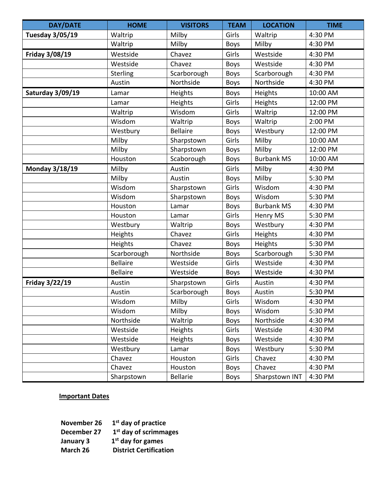| <b>DAY/DATE</b>         | <b>HOME</b>     | <b>VISITORS</b> | <b>TEAM</b> | <b>LOCATION</b>   | <b>TIME</b> |
|-------------------------|-----------------|-----------------|-------------|-------------------|-------------|
| <b>Tuesday 3/05/19</b>  | Waltrip         | Milby           | Girls       | Waltrip           | 4:30 PM     |
|                         | Waltrip         | Milby           | <b>Boys</b> | Milby             | 4:30 PM     |
| <b>Friday 3/08/19</b>   | Westside        | Chavez          | Girls       | Westside          | 4:30 PM     |
|                         | Westside        | Chavez          | <b>Boys</b> | Westside          | 4:30 PM     |
|                         | Sterling        | Scarborough     | <b>Boys</b> | Scarborough       | 4:30 PM     |
|                         | Austin          | Northside       | <b>Boys</b> | Northside         | 4:30 PM     |
| <b>Saturday 3/09/19</b> | Lamar           | Heights         | <b>Boys</b> | Heights           | 10:00 AM    |
|                         | Lamar           | Heights         | Girls       | Heights           | 12:00 PM    |
|                         | Waltrip         | Wisdom          | Girls       | Waltrip           | 12:00 PM    |
|                         | Wisdom          | Waltrip         | <b>Boys</b> | Waltrip           | 2:00 PM     |
|                         | Westbury        | <b>Bellaire</b> | <b>Boys</b> | Westbury          | 12:00 PM    |
|                         | Milby           | Sharpstown      | Girls       | Milby             | 10:00 AM    |
|                         | Milby           | Sharpstown      | <b>Boys</b> | Milby             | 12:00 PM    |
|                         | Houston         | Scaborough      | <b>Boys</b> | <b>Burbank MS</b> | 10:00 AM    |
| <b>Monday 3/18/19</b>   | Milby           | Austin          | Girls       | Milby             | 4:30 PM     |
|                         | Milby           | Austin          | <b>Boys</b> | Milby             | 5:30 PM     |
|                         | Wisdom          | Sharpstown      | Girls       | Wisdom            | 4:30 PM     |
|                         | Wisdom          | Sharpstown      | <b>Boys</b> | Wisdom            | 5:30 PM     |
|                         | Houston         | Lamar           | <b>Boys</b> | <b>Burbank MS</b> | 4:30 PM     |
|                         | Houston         | Lamar           | Girls       | Henry MS          | 5:30 PM     |
|                         | Westbury        | Waltrip         | <b>Boys</b> | Westbury          | 4:30 PM     |
|                         | Heights         | Chavez          | Girls       | Heights           | 4:30 PM     |
|                         | Heights         | Chavez          | <b>Boys</b> | Heights           | 5:30 PM     |
|                         | Scarborough     | Northside       | <b>Boys</b> | Scarborough       | 5:30 PM     |
|                         | <b>Bellaire</b> | Westside        | Girls       | Westside          | 4:30 PM     |
|                         | <b>Bellaire</b> | Westside        | <b>Boys</b> | Westside          | 4:30 PM     |
| Friday 3/22/19          | Austin          | Sharpstown      | Girls       | Austin            | 4:30 PM     |
|                         | Austin          | Scarborough     | Boys        | Austin            | 5:30 PM     |
|                         | Wisdom          | Milby           | Girls       | Wisdom            | 4:30 PM     |
|                         | Wisdom          | Milby           | <b>Boys</b> | Wisdom            | 5:30 PM     |
|                         | Northside       | Waltrip         | <b>Boys</b> | Northside         | 4:30 PM     |
|                         | Westside        | Heights         | Girls       | Westside          | 4:30 PM     |
|                         | Westside        | Heights         | <b>Boys</b> | Westside          | 4:30 PM     |
|                         | Westbury        | Lamar           | <b>Boys</b> | Westbury          | 5:30 PM     |
|                         | Chavez          | Houston         | Girls       | Chavez            | 4:30 PM     |
|                         | Chavez          | Houston         | <b>Boys</b> | Chavez            | 4:30 PM     |
|                         | Sharpstown      | <b>Bellarie</b> | <b>Boys</b> | Sharpstown INT    | 4:30 PM     |

## **Important Dates**

| November 26 | $1st$ day of practice         |
|-------------|-------------------------------|
| December 27 | $1st$ day of scrimmages       |
| January 3   | $1st$ day for games           |
| March 26    | <b>District Certification</b> |